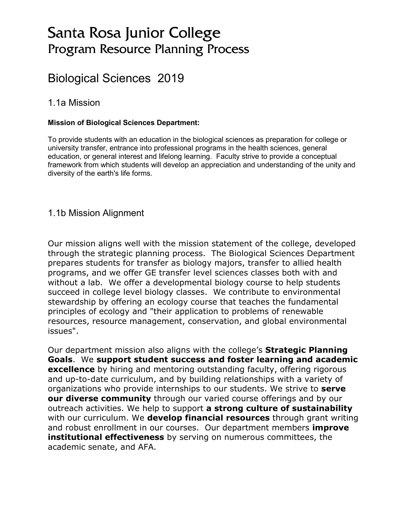# Santa Rosa Junior College Program Resource Planning Process

# Biological Sciences 2019

#### 1.1a Mission

#### **Mission of Biological Sciences Department:**

To provide students with an education in the biological sciences as preparation for college or university transfer, entrance into professional programs in the health sciences, general education, or general interest and lifelong learning. Faculty strive to provide a conceptual framework from which students will develop an appreciation and understanding of the unity and diversity of the earth's life forms.

#### 1.1b Mission Alignment

Our mission aligns well with the mission statement of the college, developed through the strategic planning process. The Biological Sciences Department prepares students for transfer as biology majors, transfer to allied health programs, and we offer GE transfer level sciences classes both with and without a lab. We offer a developmental biology course to help students succeed in college level biology classes. We contribute to environmental stewardship by offering an ecology course that teaches the fundamental principles of ecology and "their application to problems of renewable resources, resource management, conservation, and global environmental issues".

Our department mission also aligns with the college's **Strategic Planning Goals**. We **support student success and foster learning and academic excellence** by hiring and mentoring outstanding faculty, offering rigorous and up-to-date curriculum, and by building relationships with a variety of organizations who provide internships to our students. We strive to **serve our diverse community** through our varied course offerings and by our outreach activities. We help to support **a strong culture of sustainability** with our curriculum. We **develop financial resources** through grant writing and robust enrollment in our courses. Our department members **improve institutional effectiveness** by serving on numerous committees, the academic senate, and AFA.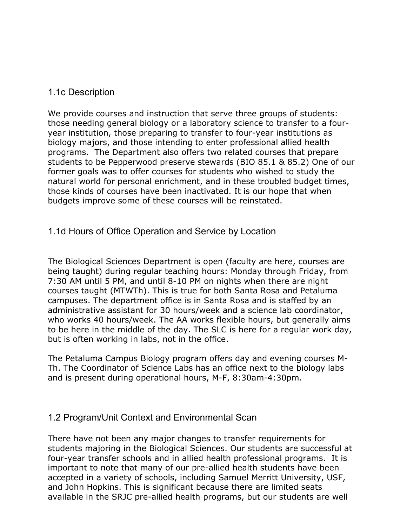## 1.1c Description

We provide courses and instruction that serve three groups of students: those needing general biology or a laboratory science to transfer to a fouryear institution, those preparing to transfer to four-year institutions as biology majors, and those intending to enter professional allied health programs. The Department also offers two related courses that prepare students to be Pepperwood preserve stewards (BIO 85.1 & 85.2) One of our former goals was to offer courses for students who wished to study the natural world for personal enrichment, and in these troubled budget times, those kinds of courses have been inactivated. It is our hope that when budgets improve some of these courses will be reinstated.

## 1.1d Hours of Office Operation and Service by Location

The Biological Sciences Department is open (faculty are here, courses are being taught) during regular teaching hours: Monday through Friday, from 7:30 AM until 5 PM, and until 8-10 PM on nights when there are night courses taught (MTWTh). This is true for both Santa Rosa and Petaluma campuses. The department office is in Santa Rosa and is staffed by an administrative assistant for 30 hours/week and a science lab coordinator, who works 40 hours/week. The AA works flexible hours, but generally aims to be here in the middle of the day. The SLC is here for a regular work day, but is often working in labs, not in the office.

The Petaluma Campus Biology program offers day and evening courses M-Th. The Coordinator of Science Labs has an office next to the biology labs and is present during operational hours, M-F, 8:30am-4:30pm.

#### 1.2 Program/Unit Context and Environmental Scan

There have not been any major changes to transfer requirements for students majoring in the Biological Sciences. Our students are successful at four-year transfer schools and in allied health professional programs. It is important to note that many of our pre-allied health students have been accepted in a variety of schools, including Samuel Merritt University, USF, and John Hopkins. This is significant because there are limited seats available in the SRJC pre-allied health programs, but our students are well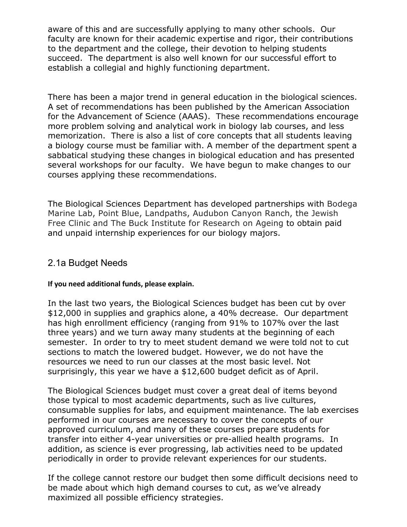aware of this and are successfully applying to many other schools. Our faculty are known for their academic expertise and rigor, their contributions to the department and the college, their devotion to helping students succeed. The department is also well known for our successful effort to establish a collegial and highly functioning department.

There has been a major trend in general education in the biological sciences. A set of recommendations has been published by the American Association for the Advancement of Science (AAAS). These recommendations encourage more problem solving and analytical work in biology lab courses, and less memorization. There is also a list of core concepts that all students leaving a biology course must be familiar with. A member of the department spent a sabbatical studying these changes in biological education and has presented several workshops for our faculty. We have begun to make changes to our courses applying these recommendations.

The Biological Sciences Department has developed partnerships with Bodega Marine Lab, Point Blue, Landpaths, Audubon Canyon Ranch, the Jewish Free Clinic and The Buck Institute for Research on Ageing to obtain paid and unpaid internship experiences for our biology majors.

#### 2.1a Budget Needs

#### **If you need additional funds, please explain.**

In the last two years, the Biological Sciences budget has been cut by over \$12,000 in supplies and graphics alone, a 40% decrease. Our department has high enrollment efficiency (ranging from 91% to 107% over the last three years) and we turn away many students at the beginning of each semester. In order to try to meet student demand we were told not to cut sections to match the lowered budget. However, we do not have the resources we need to run our classes at the most basic level. Not surprisingly, this year we have a \$12,600 budget deficit as of April.

The Biological Sciences budget must cover a great deal of items beyond those typical to most academic departments, such as live cultures, consumable supplies for labs, and equipment maintenance. The lab exercises performed in our courses are necessary to cover the concepts of our approved curriculum, and many of these courses prepare students for transfer into either 4-year universities or pre-allied health programs. In addition, as science is ever progressing, lab activities need to be updated periodically in order to provide relevant experiences for our students.

If the college cannot restore our budget then some difficult decisions need to be made about which high demand courses to cut, as we've already maximized all possible efficiency strategies.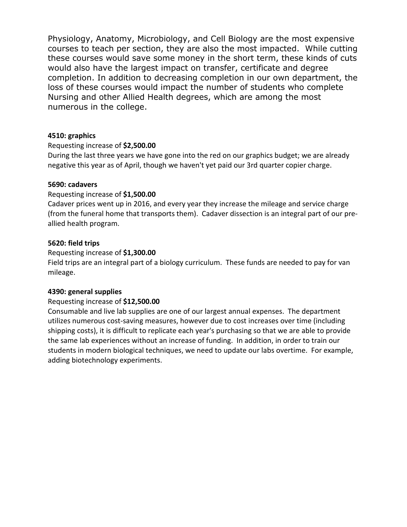Physiology, Anatomy, Microbiology, and Cell Biology are the most expensive courses to teach per section, they are also the most impacted. While cutting these courses would save some money in the short term, these kinds of cuts would also have the largest impact on transfer, certificate and degree completion. In addition to decreasing completion in our own department, the loss of these courses would impact the number of students who complete Nursing and other Allied Health degrees, which are among the most numerous in the college.

#### **4510: graphics**

#### Requesting increase of **\$2,500.00**

During the last three years we have gone into the red on our graphics budget; we are already negative this year as of April, though we haven't yet paid our 3rd quarter copier charge.

#### **5690: cadavers**

#### Requesting increase of **\$1,500.00**

Cadaver prices went up in 2016, and every year they increase the mileage and service charge (from the funeral home that transports them). Cadaver dissection is an integral part of our preallied health program.

#### **5620: field trips**

#### Requesting increase of **\$1,300.00**

Field trips are an integral part of a biology curriculum. These funds are needed to pay for van mileage.

#### **4390: general supplies**

#### Requesting increase of **\$12,500.00**

Consumable and live lab supplies are one of our largest annual expenses. The department utilizes numerous cost-saving measures, however due to cost increases over time (including shipping costs), it is difficult to replicate each year's purchasing so that we are able to provide the same lab experiences without an increase of funding. In addition, in order to train our students in modern biological techniques, we need to update our labs overtime. For example, adding biotechnology experiments.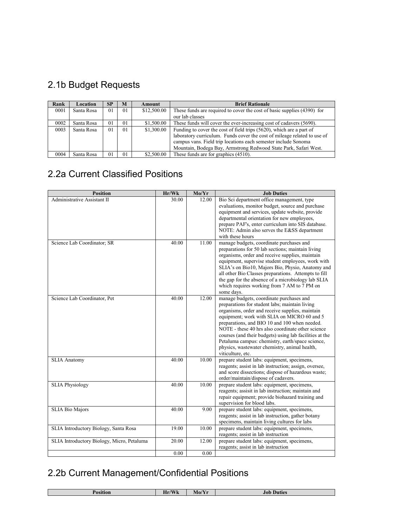# 2.1b Budget Requests

| Rank | Location   | <b>SP</b>      | M  | Amount      | <b>Brief Rationale</b>                                                   |
|------|------------|----------------|----|-------------|--------------------------------------------------------------------------|
| 0001 | Santa Rosa | 0 <sub>1</sub> | 01 | \$12,500.00 | These funds are required to cover the cost of basic supplies (4390) for  |
|      |            |                |    |             | our lab classes                                                          |
| 0002 | Santa Rosa | 0 <sub>1</sub> | 01 | \$1,500.00  | These funds will cover the ever-increasing cost of cadavers (5690).      |
| 0003 | Santa Rosa | 0 <sub>1</sub> | 01 | \$1,300.00  | Funding to cover the cost of field trips (5620), which are a part of     |
|      |            |                |    |             | laboratory curriculum. Funds cover the cost of mileage related to use of |
|      |            |                |    |             | campus vans. Field trip locations each semester include Sonoma           |
|      |            |                |    |             | Mountain, Bodega Bay, Armstrong Redwood State Park, Safari West.         |
| 0004 | Santa Rosa | 0 <sub>1</sub> | 01 | \$2,500.00  | These funds are for graphics (4510).                                     |

## 2.2a Current Classified Positions

| <b>Position</b>                            | Hr/Wk | Mo/Yr | <b>Job Duties</b>                                                                                                                                                                                                                                                                                                                                                                                                                                                                       |
|--------------------------------------------|-------|-------|-----------------------------------------------------------------------------------------------------------------------------------------------------------------------------------------------------------------------------------------------------------------------------------------------------------------------------------------------------------------------------------------------------------------------------------------------------------------------------------------|
| Administrative Assistant II                | 30.00 | 12.00 | Bio Sci department office management, type<br>evaluations, monitor budget, source and purchase<br>equipment and services, update website, provide<br>departmental orientation for new employees.<br>prepare PAF's, enter curriculum into SIS database.<br>NOTE: Admin also serves the E&SS department<br>with these hours                                                                                                                                                               |
| Science Lab Coordinator; SR                | 40.00 | 11.00 | manage budgets, coordinate purchases and<br>preparations for 50 lab sections; maintain living<br>organisms, order and receive supplies, maintain<br>equipment, supervise student employees, work with<br>SLIA's on Bio10, Majors Bio, Physio, Anatomy and<br>all other Bio Classes preparations. Attempts to fill<br>the gap for the absence of a microbiology lab SLIA<br>which requires working from 7 AM to 7 PM on<br>some days.                                                    |
| Science Lab Coordinator, Pet               | 40.00 | 12.00 | manage budgets, coordinate purchases and<br>preparations for student labs; maintain living<br>organisms, order and receive supplies, maintain<br>equipment; work with SLIA on MICRO 60 and 5<br>preparations, and BIO 10 and 100 when needed.<br>NOTE - these 40 hrs also coordinate other science<br>courses (and their budgets) using lab facilities at the<br>Petaluma campus: chemistry, earth/space science,<br>physics, wastewater chemistry, animal health,<br>viticulture, etc. |
| <b>SLIA Anatomy</b>                        | 40.00 | 10.00 | prepare student labs: equipment, specimens,<br>reagents; assist in lab instruction; assign, oversee,<br>and score dissections; dispose of hazardous waste;<br>order/maintain/dispose of cadavers.                                                                                                                                                                                                                                                                                       |
| <b>SLIA Physiology</b>                     | 40.00 | 10.00 | prepare student labs: equipment, specimens,<br>reagents; assisit in lab instruction; maintain and<br>repair equipment; provide biohazard training and<br>supervision for blood labs.                                                                                                                                                                                                                                                                                                    |
| <b>SLIA Bio Majors</b>                     | 40.00 | 9.00  | prepare student labs: equipment, specimens,<br>reagents; assist in lab instruction, gather botany<br>specimens, maintain living cultures for labs                                                                                                                                                                                                                                                                                                                                       |
| SLIA Introductory Biology, Santa Rosa      | 19.00 | 10.00 | prepare student labs: equipment, specimens,<br>reagents; assist in lab instruction                                                                                                                                                                                                                                                                                                                                                                                                      |
| SLIA Introductory Biology, Micro, Petaluma | 20.00 | 12.00 | prepare student labs: equipment, specimens,<br>reagents; assist in lab instruction                                                                                                                                                                                                                                                                                                                                                                                                      |
|                                            | 0.00  | 0.00  |                                                                                                                                                                                                                                                                                                                                                                                                                                                                                         |

# 2.2b Current Management/Confidential Positions

| ion | $T \times T$<br>TT.<br>Hr/<br><b>TY</b> | <b>A</b> <i>A</i><br>$\mathbf{N}$<br>-VIO. | Duties<br>Jot |
|-----|-----------------------------------------|--------------------------------------------|---------------|
|     |                                         |                                            |               |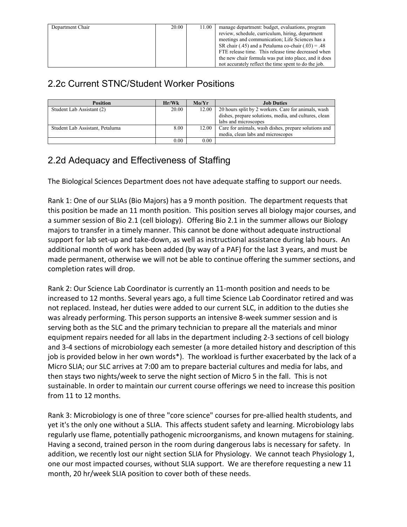| Department Chair | 20.00 | 11.00 | manage department: budget, evaluations, program       |
|------------------|-------|-------|-------------------------------------------------------|
|                  |       |       | review, schedule, curriculum, hiring, department      |
|                  |       |       | meetings and communication; Life Sciences has a       |
|                  |       |       | SR chair (.45) and a Petaluma co-chair (.03) = .48    |
|                  |       |       | FTE release time. This release time decreased when    |
|                  |       |       | the new chair formula was put into place, and it does |
|                  |       |       | not accurately reflect the time spent to do the job.  |

## 2.2c Current STNC/Student Worker Positions

| <b>Position</b>                 | Hr/Wk | Mo/Yr | <b>Job Duties</b>                                     |
|---------------------------------|-------|-------|-------------------------------------------------------|
| Student Lab Assistant (2)       | 20.00 | 12.00 | 20 hours split by 2 workers. Care for animals, wash   |
|                                 |       |       | dishes, prepare solutions, media, and cultures, clean |
|                                 |       |       | labs and microscopes                                  |
| Student Lab Assistant, Petaluma | 8.00  | 12.00 | Care for animals, wash dishes, prepare solutions and  |
|                                 |       |       | media, clean labs and microscopes                     |
|                                 | 0.00  | 0.00  |                                                       |

## 2.2d Adequacy and Effectiveness of Staffing

The Biological Sciences Department does not have adequate staffing to support our needs.

Rank 1: One of our SLIAs (Bio Majors) has a 9 month position. The department requests that this position be made an 11 month position. This position serves all biology major courses, and a summer session of Bio 2.1 (cell biology). Offering Bio 2.1 in the summer allows our Biology majors to transfer in a timely manner. This cannot be done without adequate instructional support for lab set-up and take-down, as well as instructional assistance during lab hours. An additional month of work has been added (by way of a PAF) for the last 3 years, and must be made permanent, otherwise we will not be able to continue offering the summer sections, and completion rates will drop.

Rank 2: Our Science Lab Coordinator is currently an 11-month position and needs to be increased to 12 months. Several years ago, a full time Science Lab Coordinator retired and was not replaced. Instead, her duties were added to our current SLC, in addition to the duties she was already performing. This person supports an intensive 8-week summer session and is serving both as the SLC and the primary technician to prepare all the materials and minor equipment repairs needed for all labs in the department including 2-3 sections of cell biology and 3-4 sections of microbiology each semester (a more detailed history and description of this job is provided below in her own words\*). The workload is further exacerbated by the lack of a Micro SLIA; our SLC arrives at 7:00 am to prepare bacterial cultures and media for labs, and then stays two nights/week to serve the night section of Micro 5 in the fall. This is not sustainable. In order to maintain our current course offerings we need to increase this position from 11 to 12 months.

Rank 3: Microbiology is one of three "core science" courses for pre-allied health students, and yet it's the only one without a SLIA. This affects student safety and learning. Microbiology labs regularly use flame, potentially pathogenic microorganisms, and known mutagens for staining. Having a second, trained person in the room during dangerous labs is necessary for safety. In addition, we recently lost our night section SLIA for Physiology. We cannot teach Physiology 1, one our most impacted courses, without SLIA support. We are therefore requesting a new 11 month, 20 hr/week SLIA position to cover both of these needs.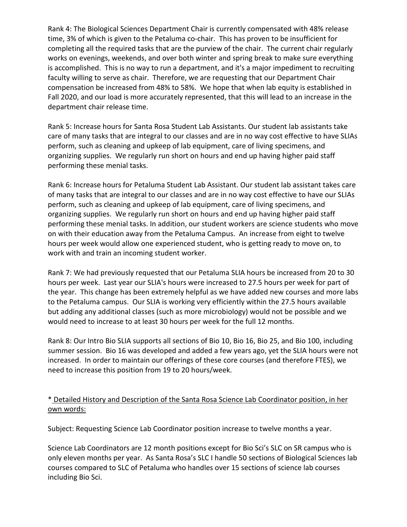Rank 4: The Biological Sciences Department Chair is currently compensated with 48% release time, 3% of which is given to the Petaluma co-chair. This has proven to be insufficient for completing all the required tasks that are the purview of the chair. The current chair regularly works on evenings, weekends, and over both winter and spring break to make sure everything is accomplished. This is no way to run a department, and it's a major impediment to recruiting faculty willing to serve as chair. Therefore, we are requesting that our Department Chair compensation be increased from 48% to 58%. We hope that when lab equity is established in Fall 2020, and our load is more accurately represented, that this will lead to an increase in the department chair release time.

Rank 5: Increase hours for Santa Rosa Student Lab Assistants. Our student lab assistants take care of many tasks that are integral to our classes and are in no way cost effective to have SLIAs perform, such as cleaning and upkeep of lab equipment, care of living specimens, and organizing supplies. We regularly run short on hours and end up having higher paid staff performing these menial tasks.

Rank 6: Increase hours for Petaluma Student Lab Assistant. Our student lab assistant takes care of many tasks that are integral to our classes and are in no way cost effective to have our SLIAs perform, such as cleaning and upkeep of lab equipment, care of living specimens, and organizing supplies. We regularly run short on hours and end up having higher paid staff performing these menial tasks. In addition, our student workers are science students who move on with their education away from the Petaluma Campus. An increase from eight to twelve hours per week would allow one experienced student, who is getting ready to move on, to work with and train an incoming student worker.

Rank 7: We had previously requested that our Petaluma SLIA hours be increased from 20 to 30 hours per week. Last year our SLIA's hours were increased to 27.5 hours per week for part of the year. This change has been extremely helpful as we have added new courses and more labs to the Petaluma campus. Our SLIA is working very efficiently within the 27.5 hours available but adding any additional classes (such as more microbiology) would not be possible and we would need to increase to at least 30 hours per week for the full 12 months.

Rank 8: Our Intro Bio SLIA supports all sections of Bio 10, Bio 16, Bio 25, and Bio 100, including summer session. Bio 16 was developed and added a few years ago, yet the SLIA hours were not increased. In order to maintain our offerings of these core courses (and therefore FTES), we need to increase this position from 19 to 20 hours/week.

#### \* Detailed History and Description of the Santa Rosa Science Lab Coordinator position, in her own words:

Subject: Requesting Science Lab Coordinator position increase to twelve months a year.

Science Lab Coordinators are 12 month positions except for Bio Sci's SLC on SR campus who is only eleven months per year. As Santa Rosa's SLC I handle 50 sections of Biological Sciences lab courses compared to SLC of Petaluma who handles over 15 sections of science lab courses including Bio Sci.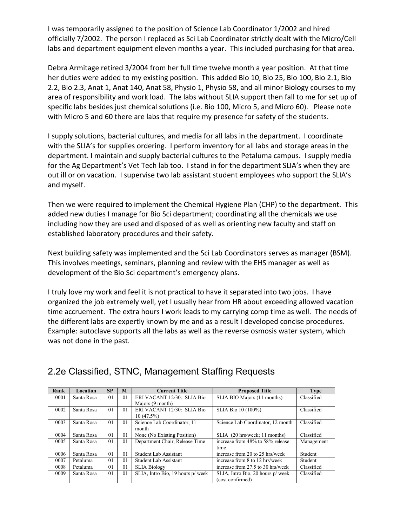I was temporarily assigned to the position of Science Lab Coordinator 1/2002 and hired officially 7/2002. The person I replaced as Sci Lab Coordinator strictly dealt with the Micro/Cell labs and department equipment eleven months a year. This included purchasing for that area.

Debra Armitage retired 3/2004 from her full time twelve month a year position. At that time her duties were added to my existing position. This added Bio 10, Bio 25, Bio 100, Bio 2.1, Bio 2.2, Bio 2.3, Anat 1, Anat 140, Anat 58, Physio 1, Physio 58, and all minor Biology courses to my area of responsibility and work load. The labs without SLIA support then fall to me for set up of specific labs besides just chemical solutions (i.e. Bio 100, Micro 5, and Micro 60). Please note with Micro 5 and 60 there are labs that require my presence for safety of the students.

I supply solutions, bacterial cultures, and media for all labs in the department. I coordinate with the SLIA's for supplies ordering. I perform inventory for all labs and storage areas in the department. I maintain and supply bacterial cultures to the Petaluma campus. I supply media for the Ag Department's Vet Tech lab too. I stand in for the department SLIA's when they are out ill or on vacation. I supervise two lab assistant student employees who support the SLIA's and myself.

Then we were required to implement the Chemical Hygiene Plan (CHP) to the department. This added new duties I manage for Bio Sci department; coordinating all the chemicals we use including how they are used and disposed of as well as orienting new faculty and staff on established laboratory procedures and their safety.

Next building safety was implemented and the Sci Lab Coordinators serves as manager (BSM). This involves meetings, seminars, planning and review with the EHS manager as well as development of the Bio Sci department's emergency plans.

I truly love my work and feel it is not practical to have it separated into two jobs. I have organized the job extremely well, yet I usually hear from HR about exceeding allowed vacation time accruement. The extra hours I work leads to my carrying comp time as well. The needs of the different labs are expertly known by me and as a result I developed concise procedures. Example: autoclave supports all the labs as well as the reverse osmosis water system, which was not done in the past.

| Rank | Location   | <b>SP</b>      | M              | <b>Current Title</b>              | <b>Proposed Title</b>             | <b>Type</b> |
|------|------------|----------------|----------------|-----------------------------------|-----------------------------------|-------------|
| 0001 | Santa Rosa | 0 <sub>1</sub> | 01             | ERI VACANT 12/30: SLIA Bio        | SLIA BIO Majors (11 months)       | Classified  |
|      |            |                |                | Majors (9 month)                  |                                   |             |
| 0002 | Santa Rosa | $\overline{0}$ | 01             | ERI VACANT 12/30: SLIA Bio        | SLIA Bio 10 (100%)                | Classified  |
|      |            |                |                | 10(47.5%)                         |                                   |             |
| 0003 | Santa Rosa | 0 <sub>1</sub> | 01             | Science Lab Coordinator, 11       | Science Lab Coordinator, 12 month | Classified  |
|      |            |                |                | month                             |                                   |             |
| 0004 | Santa Rosa | 0 <sub>1</sub> | 0 <sub>1</sub> | None (No Existing Position)       | SLIA (20 hrs/week; 11 months)     | Classified  |
| 0005 | Santa Rosa | 0 <sub>1</sub> | 0 <sub>1</sub> | Department Chair, Release Time    | increase from 48% to 58% release  | Management  |
|      |            |                |                |                                   | time                              |             |
| 0006 | Santa Rosa | $\overline{0}$ | 0 <sub>1</sub> | Student Lab Assistant             | increase from 20 to 25 hrs/week   | Student     |
| 0007 | Petaluma   | 0 <sub>1</sub> | 0 <sub>1</sub> | Student Lab Assistant             | increase from 8 to 12 hrs/week    | Student     |
| 0008 | Petaluma   | 01             | 01             | <b>SLIA Biology</b>               | increase from 27.5 to 30 hrs/week | Classified  |
| 0009 | Santa Rosa | 0 <sub>1</sub> | 01             | SLIA, Intro Bio, 19 hours p/ week | SLIA, Intro Bio, 20 hours p/ week | Classified  |
|      |            |                |                |                                   | (cost confirmed)                  |             |

## 2.2e Classified, STNC, Management Staffing Requests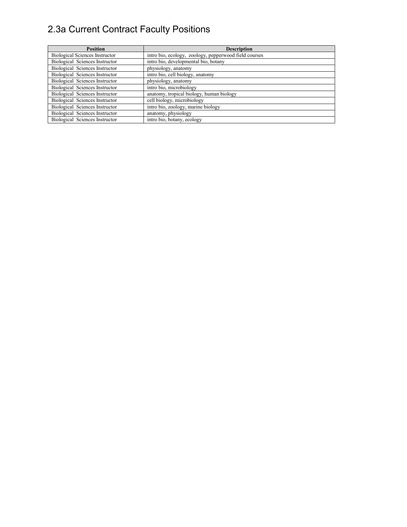# 2.3a Current Contract Faculty Positions

| <b>Position</b>                       | <b>Description</b>                                    |
|---------------------------------------|-------------------------------------------------------|
| <b>Biological Sciences Instructor</b> | intro bio, ecology, zoology, pepperwood field courses |
| Biological Sciences Instructor        | intro bio, developmental bio, botany                  |
| Biological Sciences Instructor        | physiology, anatomy                                   |
| Biological Sciences Instructor        | intro bio, cell biology, anatomy                      |
| Biological Sciences Instructor        | physiology, anatomy                                   |
| Biological Sciences Instructor        | intro bio, microbiology                               |
| Biological Sciences Instructor        | anatomy, tropical biology, human biology              |
| Biological Sciences Instructor        | cell biology, microbiology                            |
| Biological Sciences Instructor        | intro bio, zoology, marine biology                    |
| Biological Sciences Instructor        | anatomy, physiology                                   |
| Biological Sciences Instructor        | intro bio, botany, ecology                            |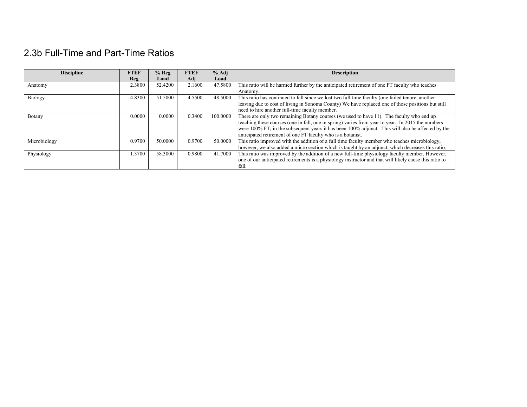## 2.3b Full-Time and Part-Time Ratios

| <b>Discipline</b> | <b>FTEF</b> | $%$ Reg | <b>FTEF</b> | $%$ Adj  | <b>Description</b>                                                                                     |
|-------------------|-------------|---------|-------------|----------|--------------------------------------------------------------------------------------------------------|
|                   | <b>Reg</b>  | Load    | Adj         | Load     |                                                                                                        |
| Anatomy           | 2.3800      | 52.4200 | 2.1600      | 47.5800  | This ratio will be harmed further by the anticipated retirement of one FT faculty who teaches          |
|                   |             |         |             |          | Anatomy.                                                                                               |
| Biology           | 4.8300      | 51.5000 | 4.5500      | 48.5000  | This ratio has continued to fall since we lost two full time faculty (one failed tenure, another       |
|                   |             |         |             |          | leaving due to cost of living in Sonoma County) We have replaced one of those positions but still      |
|                   |             |         |             |          | need to hire another full-time faculty member.                                                         |
| Botany            | 0.0000      | 0.0000  | 0.3400      | 100,0000 | There are only two remaining Botany courses (we used to have 11). The faculty who end up               |
|                   |             |         |             |          | teaching these courses (one in fall, one in spring) varies from year to year. In 2015 the numbers      |
|                   |             |         |             |          | were 100% FT; in the subsequent years it has been 100% adjunct. This will also be affected by the      |
|                   |             |         |             |          | anticipated retirement of one FT faculty who is a botanist.                                            |
| Microbiology      | 0.9700      | 50,0000 | 0.9700      | 50,0000  | This ratio improved with the addition of a full time faculty member who teaches microbiology,          |
|                   |             |         |             |          | however, we also added a micro section which is taught by an adjunct, which decreases this ratio.      |
| Physiology        | 1.3700      | 58.3000 | 0.9800      | 41.7000  | This ratio was improved by the addition of a new full-time physiology faculty member. However,         |
|                   |             |         |             |          | one of our anticipated retirements is a physiology instructor and that will likely cause this ratio to |
|                   |             |         |             |          | fall.                                                                                                  |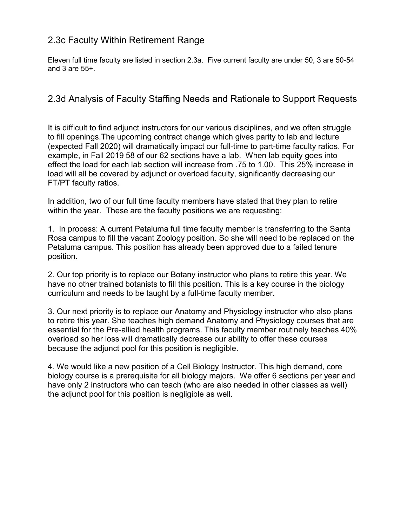## 2.3c Faculty Within Retirement Range

Eleven full time faculty are listed in section 2.3a. Five current faculty are under 50, 3 are 50-54 and 3 are 55+.

#### 2.3d Analysis of Faculty Staffing Needs and Rationale to Support Requests

It is difficult to find adjunct instructors for our various disciplines, and we often struggle to fill openings.The upcoming contract change which gives parity to lab and lecture (expected Fall 2020) will dramatically impact our full-time to part-time faculty ratios. For example, in Fall 2019 58 of our 62 sections have a lab. When lab equity goes into effect the load for each lab section will increase from .75 to 1.00. This 25% increase in load will all be covered by adjunct or overload faculty, significantly decreasing our FT/PT faculty ratios.

In addition, two of our full time faculty members have stated that they plan to retire within the year. These are the faculty positions we are requesting:

1. In process: A current Petaluma full time faculty member is transferring to the Santa Rosa campus to fill the vacant Zoology position. So she will need to be replaced on the Petaluma campus. This position has already been approved due to a failed tenure position.

2. Our top priority is to replace our Botany instructor who plans to retire this year. We have no other trained botanists to fill this position. This is a key course in the biology curriculum and needs to be taught by a full-time faculty member.

3. Our next priority is to replace our Anatomy and Physiology instructor who also plans to retire this year. She teaches high demand Anatomy and Physiology courses that are essential for the Pre-allied health programs. This faculty member routinely teaches 40% overload so her loss will dramatically decrease our ability to offer these courses because the adjunct pool for this position is negligible.

4. We would like a new position of a Cell Biology Instructor. This high demand, core biology course is a prerequisite for all biology majors. We offer 6 sections per year and have only 2 instructors who can teach (who are also needed in other classes as well) the adjunct pool for this position is negligible as well.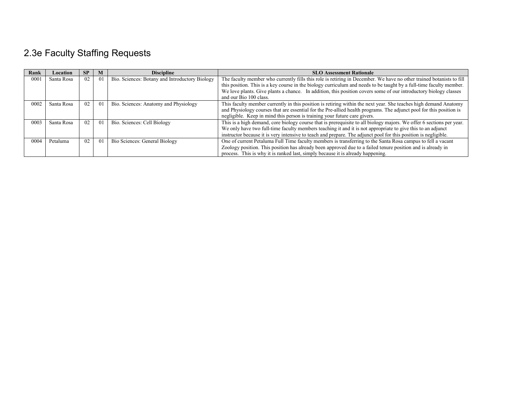# 2.3e Faculty Staffing Requests

| Rank | Location   | SP | M               | <b>Discipline</b>                              | <b>SLO Assessment Rationale</b>                                                                                      |
|------|------------|----|-----------------|------------------------------------------------|----------------------------------------------------------------------------------------------------------------------|
| 0001 | Santa Rosa | 02 | $\overline{01}$ | Bio. Sciences: Botany and Introductory Biology | The faculty member who currently fills this role is retiring in December. We have no other trained botanists to fill |
|      |            |    |                 |                                                | this position. This is a key course in the biology curriculum and needs to be taught by a full-time faculty member.  |
|      |            |    |                 |                                                | We love plants. Give plants a chance. In addition, this position covers some of our introductory biology classes     |
|      |            |    |                 |                                                | and our Bio 100 class.                                                                                               |
| 0002 | Santa Rosa | 02 | $\Omega$        | Bio. Sciences: Anatomy and Physiology          | This faculty member currently in this position is retiring within the next year. She teaches high demand Anatomy     |
|      |            |    |                 |                                                | and Physiology courses that are essential for the Pre-allied health programs. The adjunct pool for this position is  |
|      |            |    |                 |                                                | negligible. Keep in mind this person is training your future care givers.                                            |
| 0003 | Santa Rosa | 02 | $\Omega$        | Bio. Sciences: Cell Biology                    | This is a high demand, core biology course that is prerequisite to all biology majors. We offer 6 sections per year. |
|      |            |    |                 |                                                | We only have two full-time faculty members teaching it and it is not appropriate to give this to an adjunct          |
|      |            |    |                 |                                                | instructor because it is very intensive to teach and prepare. The adjunct pool for this position is negligible.      |
| 0004 | Petaluma   | 02 | $\overline{0}$  | Bio Sciences: General Biology                  | One of current Petaluma Full Time faculty members is transferring to the Santa Rosa campus to fell a vacant          |
|      |            |    |                 |                                                | Zoology position. This position has already been approved due to a failed tenure position and is already in          |
|      |            |    |                 |                                                | process. This is why it is ranked last, simply because it is already happening.                                      |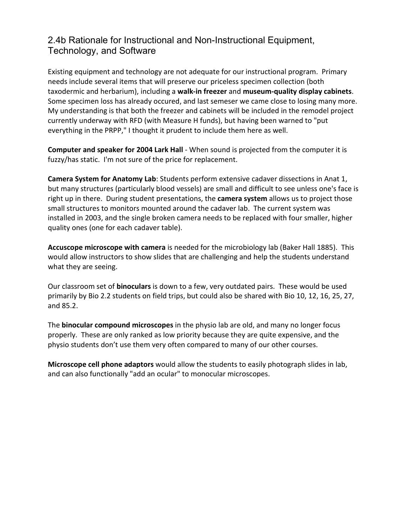## 2.4b Rationale for Instructional and Non-Instructional Equipment, Technology, and Software

Existing equipment and technology are not adequate for our instructional program. Primary needs include several items that will preserve our priceless specimen collection (both taxodermic and herbarium), including a **walk-in freezer** and **museum-quality display cabinets**. Some specimen loss has already occured, and last semeser we came close to losing many more. My understanding is that both the freezer and cabinets will be included in the remodel project currently underway with RFD (with Measure H funds), but having been warned to "put everything in the PRPP," I thought it prudent to include them here as well.

**Computer and speaker for 2004 Lark Hall** - When sound is projected from the computer it is fuzzy/has static. I'm not sure of the price for replacement.

**Camera System for Anatomy Lab**: Students perform extensive cadaver dissections in Anat 1, but many structures (particularly blood vessels) are small and difficult to see unless one's face is right up in there. During student presentations, the **camera system** allows us to project those small structures to monitors mounted around the cadaver lab. The current system was installed in 2003, and the single broken camera needs to be replaced with four smaller, higher quality ones (one for each cadaver table).

**Accuscope microscope with camera** is needed for the microbiology lab (Baker Hall 1885). This would allow instructors to show slides that are challenging and help the students understand what they are seeing.

Our classroom set of **binoculars** is down to a few, very outdated pairs. These would be used primarily by Bio 2.2 students on field trips, but could also be shared with Bio 10, 12, 16, 25, 27, and 85.2.

The **binocular compound microscopes** in the physio lab are old, and many no longer focus properly. These are only ranked as low priority because they are quite expensive, and the physio students don't use them very often compared to many of our other courses.

**Microscope cell phone adaptors** would allow the students to easily photograph slides in lab, and can also functionally "add an ocular" to monocular microscopes.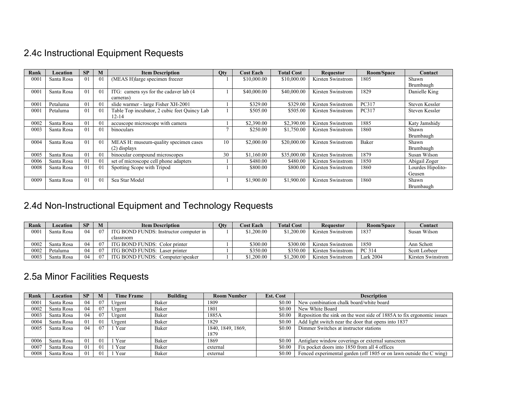# 2.4c Instructional Equipment Requests

| Rank          | Location   | <b>SP</b> | M              | <b>Item Description</b>                      | <b>Qty</b> | <b>Cost Each</b> | <b>Total Cost</b> | <b>Requestor</b>  | Room/Space   | Contact           |
|---------------|------------|-----------|----------------|----------------------------------------------|------------|------------------|-------------------|-------------------|--------------|-------------------|
| 000           | Santa Rosa | 01        | 0 <sup>1</sup> | (MEAS H) large specimen freezer              |            | \$10,000.00      | \$10,000.00       | Kirsten Swinstrom | 1805         | Shawn             |
|               |            |           |                |                                              |            |                  |                   |                   |              | Brumbaugh         |
| $000^{\circ}$ | Santa Rosa | 01        | 0 <sup>1</sup> | ITG: camera sys for the cadaver lab (4)      |            | \$40,000.00      | \$40,000.00       | Kirsten Swinstrom | 1829         | Danielle King     |
|               |            |           |                | cameras)                                     |            |                  |                   |                   |              |                   |
| $000^{\circ}$ | Petaluma   | 01        | 0 <sup>1</sup> | slide warmer - large Fisher XH-2001          |            | \$329.00         | \$329.00          | Kirsten Swinstrom | <b>PC317</b> | Steven Kessler    |
| $000^{\circ}$ | Petaluma   | 01        | 0 <sup>1</sup> | Table Top incubator, 2 cubic feet Quincy Lab |            | \$505.00         | \$505.00          | Kirsten Swinstrom | PC317        | Steven Kessler    |
|               |            |           |                | $12 - 14$                                    |            |                  |                   |                   |              |                   |
| 0002          | Santa Rosa | 01        | 0 <sup>1</sup> | accuscope microscope with camera             |            | \$2,390.00       | \$2,390.00        | Kirsten Swinstrom | 1885         | Katy Jamshidy     |
| 0003          | Santa Rosa | 01        | $\Omega$       | binoculars                                   |            | \$250.00         | \$1,750.00        | Kirsten Swinstrom | 1860         | Shawn             |
|               |            |           |                |                                              |            |                  |                   |                   |              | Brumbaugh         |
| 0004          | Santa Rosa | 01        | 0 <sup>1</sup> | MEAS H: museum-quality specimen cases        | 10         | \$2,000.00       | \$20,000.00       | Kirsten Swinstrom | Baker        | Shawn             |
|               |            |           |                | $(2)$ displays                               |            |                  |                   |                   |              | Brumbaugh         |
| 0005          | Santa Rosa | 01        | 0 <sup>1</sup> | binocular compound microscopes               | 30         | \$1,160.00       | \$35,000.00       | Kirsten Swinstrom | 1879         | Susan Wilson      |
| 0006          | Santa Rosa | 01        | 0 <sup>1</sup> | set of microscope cell phone adapters        |            | \$480.00         | \$480.00          | Kirsten Swinstrom | 1850         | Abigail Zoger     |
| 0008          | Santa Rosa | 01        | 0 <sup>1</sup> | Spotting Scope with Tripod                   |            | \$800.00         | \$800.00          | Kirsten Swinstrom | 1860         | Lourdes Hipolito- |
|               |            |           |                |                                              |            |                  |                   |                   |              | Geusen            |
| 0009          | Santa Rosa | 01        | 0 <sup>1</sup> | Sea Star Model                               |            | \$1,900.00       | \$1,900.00        | Kirsten Swinstrom | 1860         | Shawn             |
|               |            |           |                |                                              |            |                  |                   |                   |              | Brumbaugh         |

# 2.4d Non-Instructional Equipment and Technology Requests

| Rank | Location   | <b>SP</b> | M   | <b>Item Description</b>                |  | <b>Cost Each</b> | <b>Total Cost</b> | Reauestor         | Room/Space       | Contact              |
|------|------------|-----------|-----|----------------------------------------|--|------------------|-------------------|-------------------|------------------|----------------------|
| 0001 | Santa Rosa | 04        | 07  | ITG BOND FUNDS: Instructor computer in |  | \$1,200.00       | \$1,200.00        | Kirsten Swinstrom | 1837             | Susan Wilson         |
|      |            |           |     | classroom                              |  |                  |                   |                   |                  |                      |
| 0002 | Santa Rosa | 04        | 07  | ITG BOND FUNDS: Color printer          |  | \$300.00         | \$300.00          | Kirsten Swinstrom | 1850             | Ann Schott           |
| 0002 | Petaluma   | 04        | 07  | ITG BOND FUNDS: Laser printer          |  | \$350.00         | \$350.00          | Kirsten Swinstrom | PC 314           | <b>Scott Lorbeer</b> |
| 0003 | Santa Rosa | 04        | -07 | ITG BOND FUNDS: Computer/speaker       |  | \$1.200.00       | \$1,200.00        | Kirsten Swinstrom | <b>Lark 2004</b> | Kirsten Swinstrom    |

## 2.5a Minor Facilities Requests

| Rank | Location   | <b>SP</b> | M  | <b>Time Frame</b> | <b>Building</b> | <b>Room Number</b> | <b>Est. Cost</b> | <b>Description</b>                                                    |
|------|------------|-----------|----|-------------------|-----------------|--------------------|------------------|-----------------------------------------------------------------------|
| 0001 | Santa Rosa | 04        | 07 | Urgent            | Baker           | 1809               | \$0.00           | New combination chalk board/white board                               |
| 0002 | Santa Rosa | 04        | 07 | Urgent            | Baker           | 1801               | \$0.00           | New White Board                                                       |
| 0003 | Santa Rosa | 04        | 07 | Urgent            | Baker           | 1885A              | \$0.00           | Reposition the sink on the west side of 1885A to fix ergonomic issues |
| 0004 | Santa Rosa | 01        | 01 | Urgent            | Baker           | 1829               | \$0.00           | Add light switch near the door that opens into 1837                   |
| 0005 | Santa Rosa | 04        | 07 | Year              | Baker           | 1840, 1849, 1869,  | \$0.00           | Dimmer Switches at instructor stations                                |
|      |            |           |    |                   |                 | 1879               |                  |                                                                       |
| 0006 | Santa Rosa | 01        | 01 | Year              | Baker           | 1869               | \$0.00           | Antiglare window coverings or external sunscreen                      |
| 0007 | Santa Rosa | 01        | 01 | Year              | Baker           | external           | \$0.00           | Fix pocket doors into 1850 from all 4 offices                         |
| 0008 | Santa Rosa | 01        | 01 | Year              | Baker           | external           | \$0.00           | Fenced experimental garden (off 1805 or on lawn outside the C wing)   |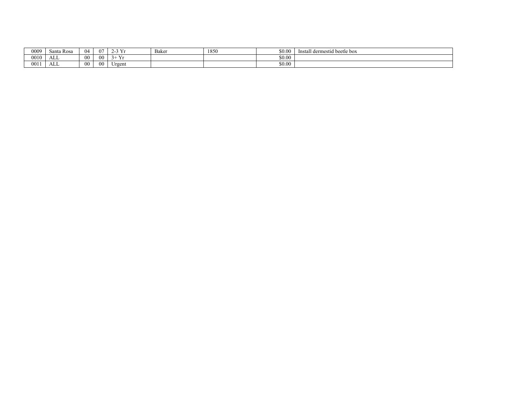| 0009 | $\sim$<br>Santa<br>. Rosa | 04             | $\Omega$       | $\mathbf{v}$  | Baker | 1850 | \$0.00 | Install dermestid beetle box |
|------|---------------------------|----------------|----------------|---------------|-------|------|--------|------------------------------|
| 0010 | <b>T</b><br>ட்ட           | 0 <sub>0</sub> | 0 <sup>0</sup> | $\cdot$       |       |      | \$0.00 |                              |
| 0011 | <b>T</b><br>டிப           | 00             | 00             | - -<br>Urgent |       |      | \$0.00 |                              |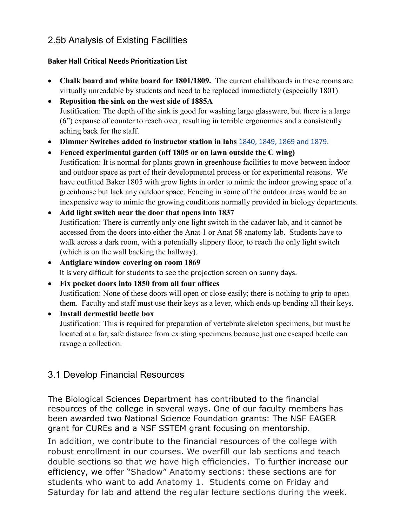## 2.5b Analysis of Existing Facilities

#### **Baker Hall Critical Needs Prioritization List**

- **Chalk board and white board for 1801/1809.** The current chalkboards in these rooms are virtually unreadable by students and need to be replaced immediately (especially 1801)
- **Reposition the sink on the west side of 1885A** Justification: The depth of the sink is good for washing large glassware, but there is a large (6") expanse of counter to reach over, resulting in terrible ergonomics and a consistently aching back for the staff.
- **Dimmer Switches added to instructor station in labs** 1840, 1849, 1869 and 1879.
- **Fenced experimental garden (off 1805 or on lawn outside the C wing)** Justification: It is normal for plants grown in greenhouse facilities to move between indoor and outdoor space as part of their developmental process or for experimental reasons. We have outfitted Baker 1805 with grow lights in order to mimic the indoor growing space of a greenhouse but lack any outdoor space. Fencing in some of the outdoor areas would be an inexpensive way to mimic the growing conditions normally provided in biology departments.
- **Add light switch near the door that opens into 1837** Justification: There is currently only one light switch in the cadaver lab, and it cannot be accessed from the doors into either the Anat 1 or Anat 58 anatomy lab. Students have to walk across a dark room, with a potentially slippery floor, to reach the only light switch (which is on the wall backing the hallway).
- **Antiglare window covering on room 1869** It is very difficult for students to see the projection screen on sunny days.
- **Fix pocket doors into 1850 from all four offices** Justification: None of these doors will open or close easily; there is nothing to grip to open them. Faculty and staff must use their keys as a lever, which ends up bending all their keys.
- **Install dermestid beetle box** Justification: This is required for preparation of vertebrate skeleton specimens, but must be located at a far, safe distance from existing specimens because just one escaped beetle can ravage a collection.

## 3.1 Develop Financial Resources

The Biological Sciences Department has contributed to the financial resources of the college in several ways. One of our faculty members has been awarded two National Science Foundation grants: The NSF EAGER grant for CUREs and a NSF SSTEM grant focusing on mentorship.

In addition, we contribute to the financial resources of the college with robust enrollment in our courses. We overfill our lab sections and teach double sections so that we have high efficiencies. To further increase our efficiency, we offer "Shadow" Anatomy sections: these sections are for students who want to add Anatomy 1. Students come on Friday and Saturday for lab and attend the regular lecture sections during the week.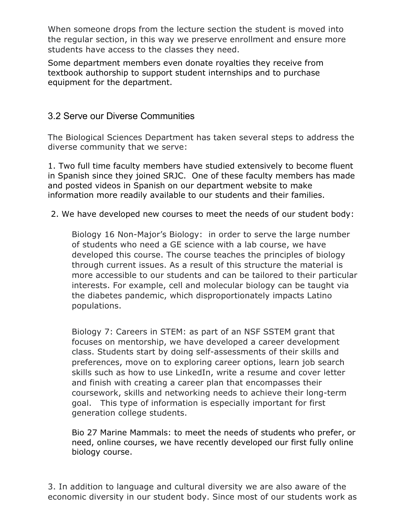When someone drops from the lecture section the student is moved into the regular section, in this way we preserve enrollment and ensure more students have access to the classes they need.

Some department members even donate royalties they receive from textbook authorship to support student internships and to purchase equipment for the department.

## 3.2 Serve our Diverse Communities

The Biological Sciences Department has taken several steps to address the diverse community that we serve:

1. Two full time faculty members have studied extensively to become fluent in Spanish since they joined SRJC. One of these faculty members has made and posted videos in Spanish on our department website to make information more readily available to our students and their families.

2. We have developed new courses to meet the needs of our student body:

Biology 16 Non-Major's Biology: in order to serve the large number of students who need a GE science with a lab course, we have developed this course. The course teaches the principles of biology through current issues. As a result of this structure the material is more accessible to our students and can be tailored to their particular interests. For example, cell and molecular biology can be taught via the diabetes pandemic, which disproportionately impacts Latino populations.

Biology 7: Careers in STEM: as part of an NSF SSTEM grant that focuses on mentorship, we have developed a career development class. Students start by doing self-assessments of their skills and preferences, move on to exploring career options, learn job search skills such as how to use LinkedIn, write a resume and cover letter and finish with creating a career plan that encompasses their coursework, skills and networking needs to achieve their long-term goal. This type of information is especially important for first generation college students.

Bio 27 Marine Mammals: to meet the needs of students who prefer, or need, online courses, we have recently developed our first fully online biology course.

3. In addition to language and cultural diversity we are also aware of the economic diversity in our student body. Since most of our students work as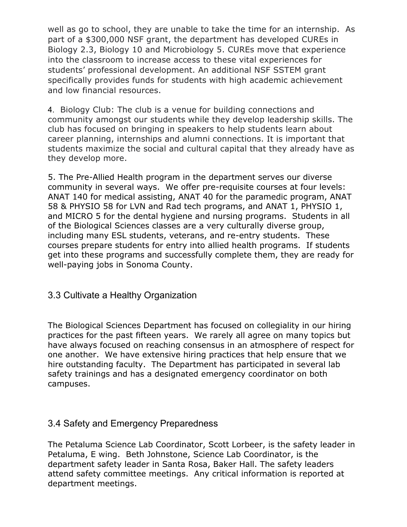well as go to school, they are unable to take the time for an internship. As part of a \$300,000 NSF grant, the department has developed CUREs in Biology 2.3, Biology 10 and Microbiology 5. CUREs move that experience into the classroom to increase access to these vital experiences for students' professional development. An additional NSF SSTEM grant specifically provides funds for students with high academic achievement and low financial resources.

4. Biology Club: The club is a venue for building connections and community amongst our students while they develop leadership skills. The club has focused on bringing in speakers to help students learn about career planning, internships and alumni connections. It is important that students maximize the social and cultural capital that they already have as they develop more.

5. The Pre-Allied Health program in the department serves our diverse community in several ways. We offer pre-requisite courses at four levels: ANAT 140 for medical assisting, ANAT 40 for the paramedic program, ANAT 58 & PHYSIO 58 for LVN and Rad tech programs, and ANAT 1, PHYSIO 1, and MICRO 5 for the dental hygiene and nursing programs. Students in all of the Biological Sciences classes are a very culturally diverse group, including many ESL students, veterans, and re-entry students. These courses prepare students for entry into allied health programs. If students get into these programs and successfully complete them, they are ready for well-paying jobs in Sonoma County.

## 3.3 Cultivate a Healthy Organization

The Biological Sciences Department has focused on collegiality in our hiring practices for the past fifteen years. We rarely all agree on many topics but have always focused on reaching consensus in an atmosphere of respect for one another. We have extensive hiring practices that help ensure that we hire outstanding faculty. The Department has participated in several lab safety trainings and has a designated emergency coordinator on both campuses.

#### 3.4 Safety and Emergency Preparedness

The Petaluma Science Lab Coordinator, Scott Lorbeer, is the safety leader in Petaluma, E wing. Beth Johnstone, Science Lab Coordinator, is the department safety leader in Santa Rosa, Baker Hall. The safety leaders attend safety committee meetings. Any critical information is reported at department meetings.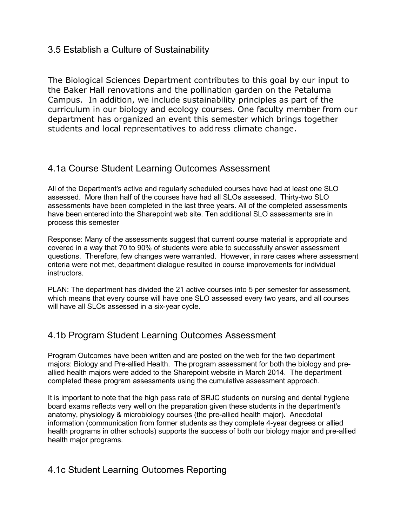#### 3.5 Establish a Culture of Sustainability

The Biological Sciences Department contributes to this goal by our input to the Baker Hall renovations and the pollination garden on the Petaluma Campus. In addition, we include sustainability principles as part of the curriculum in our biology and ecology courses. One faculty member from our department has organized an event this semester which brings together students and local representatives to address climate change.

#### 4.1a Course Student Learning Outcomes Assessment

All of the Department's active and regularly scheduled courses have had at least one SLO assessed. More than half of the courses have had all SLOs assessed. Thirty-two SLO assessments have been completed in the last three years. All of the completed assessments have been entered into the Sharepoint web site. Ten additional SLO assessments are in process this semester

Response: Many of the assessments suggest that current course material is appropriate and covered in a way that 70 to 90% of students were able to successfully answer assessment questions. Therefore, few changes were warranted. However, in rare cases where assessment criteria were not met, department dialogue resulted in course improvements for individual instructors.

PLAN: The department has divided the 21 active courses into 5 per semester for assessment, which means that every course will have one SLO assessed every two years, and all courses will have all SLOs assessed in a six-year cycle.

## 4.1b Program Student Learning Outcomes Assessment

Program Outcomes have been written and are posted on the web for the two department majors: Biology and Pre-allied Health. The program assessment for both the biology and preallied health majors were added to the Sharepoint website in March 2014. The department completed these program assessments using the cumulative assessment approach.

It is important to note that the high pass rate of SRJC students on nursing and dental hygiene board exams reflects very well on the preparation given these students in the department's anatomy, physiology & microbiology courses (the pre-allied health major). Anecdotal information (communication from former students as they complete 4-year degrees or allied health programs in other schools) supports the success of both our biology major and pre-allied health major programs.

## 4.1c Student Learning Outcomes Reporting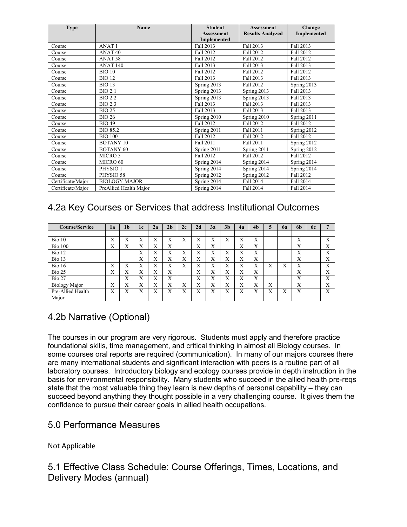| <b>Type</b>       | <b>Name</b>            | <b>Student</b><br><b>Assessment</b> | <b>Assessment</b><br><b>Results Analyzed</b> | Change<br>Implemented |  |
|-------------------|------------------------|-------------------------------------|----------------------------------------------|-----------------------|--|
|                   |                        | Implemented                         |                                              |                       |  |
| Course            | <b>ANAT1</b>           | Fall 2013                           | Fall 2013                                    | Fall 2013             |  |
| Course            | ANAT <sub>40</sub>     | Fall 2012                           | Fall 2012                                    | Fall 2012             |  |
| Course            | ANAT <sub>58</sub>     | <b>Fall 2012</b>                    | <b>Fall 2012</b>                             | Fall 2012             |  |
| Course            | <b>ANAT 140</b>        | Fall 2013                           | Fall 2013                                    | Fall 2013             |  |
| Course            | <b>BIO 10</b>          | <b>Fall 2012</b>                    | Fall 2012                                    | Fall 2012             |  |
| Course            | <b>BIO 12</b>          | Fall 2013                           | Fall 2013                                    | Fall 2013             |  |
| Course            | <b>BIO 13</b>          | Spring 2013                         | Fall 2012                                    | Spring 2013           |  |
| Course            | <b>BIO 2.1</b>         | Spring 2013                         | Spring $2013$                                | Fall 2013             |  |
| Course            | <b>BIO 2.2</b>         | Spring 2013                         | Spring 2013                                  | Fall 2013             |  |
| Course            | <b>BIO 2.3</b>         | Fall 2013                           | Fall 2013                                    | Fall 2013             |  |
| Course            | <b>BIO 25</b>          | Fall 2013                           | Fall 2013                                    | Fall 2013             |  |
| Course            | <b>BIO 26</b>          | Spring 2010                         | Spring 2010                                  | Spring 2011           |  |
| Course            | <b>BIO 49</b>          | Fall 2012                           | <b>Fall 2012</b>                             | Fall 2012             |  |
| Course            | <b>BIO 85.2</b>        | Spring 2011                         | Fall 2011                                    | Spring 2012           |  |
| Course            | <b>BIO 100</b>         | Fall 2012                           | Fall 2012                                    | Fall 2012             |  |
| Course            | <b>BOTANY 10</b>       | <b>Fall 2011</b>                    | Fall 2011                                    | Spring 2012           |  |
| Course            | <b>BOTANY 60</b>       | Spring 2011                         | Spring 2011                                  | Spring 2012           |  |
| Course            | MICRO 5                | Fall 2012                           | Fall 2012                                    | Fall 2012             |  |
| Course            | MICRO 60               | Spring 2014                         | Spring 2014                                  | Spring 2014           |  |
| Course            | PHYSIO <sub>1</sub>    | Spring 2014                         | Spring 2014                                  | Spring 2014           |  |
| Course            | PHYSIO 58              | Spring 2012                         | Spring 2012                                  | Fall 2012             |  |
| Certificate/Major | <b>BIOLOGY MAJOR</b>   | Spring 2014                         | Fall 2014                                    | Fall 2014             |  |
| Certificate/Major | PreAllied Health Major | Spring 2014                         | Fall 2014                                    | Fall 2014             |  |

## 4.2a Key Courses or Services that address Institutional Outcomes

| <b>Course/Service</b> | 1a                       | 1 <sub>b</sub> | 1c | 2a                | 2 <sub>b</sub> | 2c               | 2d                | 3a                        | 3 <sub>h</sub> | 4a | 4 <sub>b</sub> | 5 | 62 | 6 <sub>b</sub> | 6с |                           |
|-----------------------|--------------------------|----------------|----|-------------------|----------------|------------------|-------------------|---------------------------|----------------|----|----------------|---|----|----------------|----|---------------------------|
|                       |                          |                |    |                   |                |                  |                   |                           |                |    |                |   |    |                |    |                           |
| Bio 10                | X                        | X              | X  | X                 | Х              | X                | X                 | v<br>$\lambda$            | X              | X  | X              |   |    | X              |    | X                         |
| <b>Bio 100</b>        | X                        | Х              | Х  | X                 | X              |                  | X                 | v<br>$\lambda$            |                | X  | X              |   |    | Х              |    | X                         |
| Bio 12                |                          |                | X  | $\mathbf{v}$<br>л | X              | $\mathbf v$<br>л | X                 | $\mathbf{v}$<br>л         | X              | X  | X              |   |    | X              |    | X                         |
| Bio 13                |                          |                | Х  | $\mathbf{v}$<br>л | X              | X                | X                 | $\mathbf v$<br>$\lambda$  | X              | X  | X              |   |    | X              |    | X                         |
| Bio <sub>16</sub>     | X                        | Х              | X  | X                 | X              | X                | X                 | $\mathbf v$<br>A          | Х              | X  | Х              | Х | X  | X              |    | X                         |
| Bio 25                | X                        | Х              | X  | X                 | X              |                  | X                 | v<br>$\lambda$            | X              | X  | Х              |   |    | X              |    | X                         |
| Bio 27                |                          | X              | X  | X                 | X              |                  | $\mathbf{v}$<br>л | $\mathbf{v}$<br>$\lambda$ | X              | X  | Х              |   |    | X              |    | X                         |
| <b>Biology Major</b>  | $\mathbf v$<br>$\lambda$ | X              | X  | X                 | X              | v<br>л           | $\mathbf{v}$<br>л | v<br>$\lambda$            | X              | X  | Х              | X |    | X              |    | $\mathbf{v}$<br>$\lambda$ |
| Pre-Allied Health     | X                        | X              | X  | X                 | X              | X                | X                 | $\mathbf v$<br>л          | X              | X  | X              | X | X  | X              |    | X                         |
| Major                 |                          |                |    |                   |                |                  |                   |                           |                |    |                |   |    |                |    |                           |

## 4.2b Narrative (Optional)

The courses in our program are very rigorous. Students must apply and therefore practice foundational skills, time management, and critical thinking in almost all Biology courses. In some courses oral reports are required (communication). In many of our majors courses there are many international students and significant interaction with peers is a routine part of all laboratory courses. Introductory biology and ecology courses provide in depth instruction in the basis for environmental responsibility. Many students who succeed in the allied health pre-reqs state that the most valuable thing they learn is new depths of personal capability – they can succeed beyond anything they thought possible in a very challenging course. It gives them the confidence to pursue their career goals in allied health occupations.

## 5.0 Performance Measures

Not Applicable

5.1 Effective Class Schedule: Course Offerings, Times, Locations, and Delivery Modes (annual)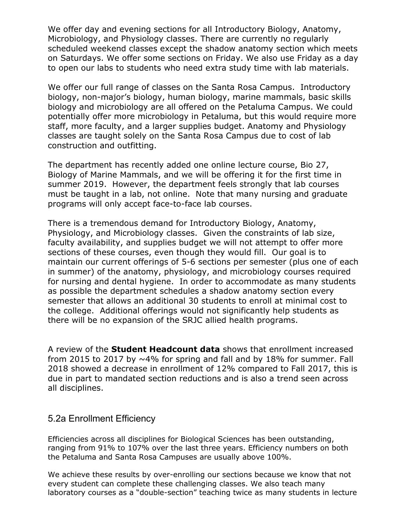We offer day and evening sections for all Introductory Biology, Anatomy, Microbiology, and Physiology classes. There are currently no regularly scheduled weekend classes except the shadow anatomy section which meets on Saturdays. We offer some sections on Friday. We also use Friday as a day to open our labs to students who need extra study time with lab materials.

We offer our full range of classes on the Santa Rosa Campus. Introductory biology, non-major's biology, human biology, marine mammals, basic skills biology and microbiology are all offered on the Petaluma Campus. We could potentially offer more microbiology in Petaluma, but this would require more staff, more faculty, and a larger supplies budget. Anatomy and Physiology classes are taught solely on the Santa Rosa Campus due to cost of lab construction and outfitting.

The department has recently added one online lecture course, Bio 27, Biology of Marine Mammals, and we will be offering it for the first time in summer 2019. However, the department feels strongly that lab courses must be taught in a lab, not online. Note that many nursing and graduate programs will only accept face-to-face lab courses.

There is a tremendous demand for Introductory Biology, Anatomy, Physiology, and Microbiology classes. Given the constraints of lab size, faculty availability, and supplies budget we will not attempt to offer more sections of these courses, even though they would fill. Our goal is to maintain our current offerings of 5-6 sections per semester (plus one of each in summer) of the anatomy, physiology, and microbiology courses required for nursing and dental hygiene. In order to accommodate as many students as possible the department schedules a shadow anatomy section every semester that allows an additional 30 students to enroll at minimal cost to the college. Additional offerings would not significantly help students as there will be no expansion of the SRJC allied health programs.

A review of the **Student Headcount data** shows that enrollment increased from 2015 to 2017 by  $\sim$ 4% for spring and fall and by 18% for summer. Fall 2018 showed a decrease in enrollment of 12% compared to Fall 2017, this is due in part to mandated section reductions and is also a trend seen across all disciplines.

#### 5.2a Enrollment Efficiency

Efficiencies across all disciplines for Biological Sciences has been outstanding, ranging from 91% to 107% over the last three years. Efficiency numbers on both the Petaluma and Santa Rosa Campuses are usually above 100%.

We achieve these results by over-enrolling our sections because we know that not every student can complete these challenging classes. We also teach many laboratory courses as a "double-section" teaching twice as many students in lecture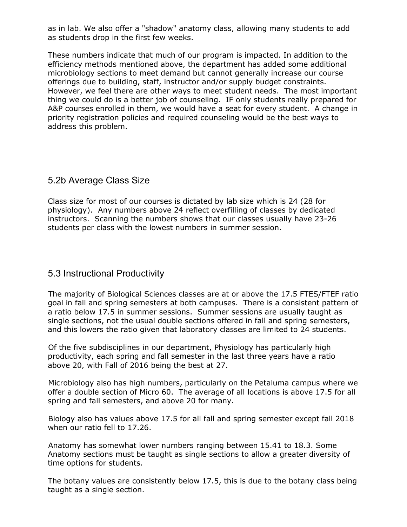as in lab. We also offer a "shadow" anatomy class, allowing many students to add as students drop in the first few weeks.

These numbers indicate that much of our program is impacted. In addition to the efficiency methods mentioned above, the department has added some additional microbiology sections to meet demand but cannot generally increase our course offerings due to building, staff, instructor and/or supply budget constraints. However, we feel there are other ways to meet student needs. The most important thing we could do is a better job of counseling. IF only students really prepared for A&P courses enrolled in them, we would have a seat for every student. A change in priority registration policies and required counseling would be the best ways to address this problem.

## 5.2b Average Class Size

Class size for most of our courses is dictated by lab size which is 24 (28 for physiology). Any numbers above 24 reflect overfilling of classes by dedicated instructors. Scanning the numbers shows that our classes usually have 23-26 students per class with the lowest numbers in summer session.

#### 5.3 Instructional Productivity

The majority of Biological Sciences classes are at or above the 17.5 FTES/FTEF ratio goal in fall and spring semesters at both campuses. There is a consistent pattern of a ratio below 17.5 in summer sessions. Summer sessions are usually taught as single sections, not the usual double sections offered in fall and spring semesters, and this lowers the ratio given that laboratory classes are limited to 24 students.

Of the five subdisciplines in our department, Physiology has particularly high productivity, each spring and fall semester in the last three years have a ratio above 20, with Fall of 2016 being the best at 27.

Microbiology also has high numbers, particularly on the Petaluma campus where we offer a double section of Micro 60. The average of all locations is above 17.5 for all spring and fall semesters, and above 20 for many.

Biology also has values above 17.5 for all fall and spring semester except fall 2018 when our ratio fell to 17.26.

Anatomy has somewhat lower numbers ranging between 15.41 to 18.3. Some Anatomy sections must be taught as single sections to allow a greater diversity of time options for students.

The botany values are consistently below 17.5, this is due to the botany class being taught as a single section.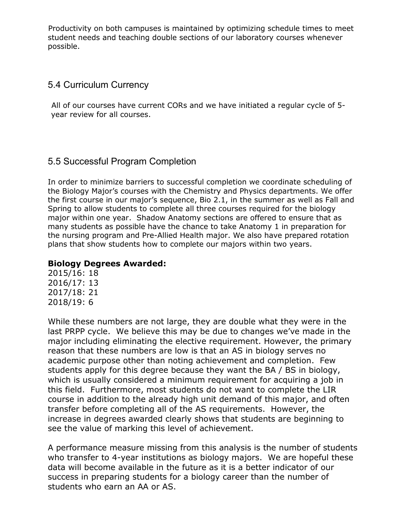Productivity on both campuses is maintained by optimizing schedule times to meet student needs and teaching double sections of our laboratory courses whenever possible.

## 5.4 Curriculum Currency

All of our courses have current CORs and we have initiated a regular cycle of 5 year review for all courses.

## 5.5 Successful Program Completion

In order to minimize barriers to successful completion we coordinate scheduling of the Biology Major's courses with the Chemistry and Physics departments. We offer the first course in our major's sequence, Bio 2.1, in the summer as well as Fall and Spring to allow students to complete all three courses required for the biology major within one year. Shadow Anatomy sections are offered to ensure that as many students as possible have the chance to take Anatomy 1 in preparation for the nursing program and Pre-Allied Health major. We also have prepared rotation plans that show students how to complete our majors within two years.

#### **Biology Degrees Awarded:**

2015/16: 18 2016/17: 13 2017/18: 21 2018/19: 6

While these numbers are not large, they are double what they were in the last PRPP cycle. We believe this may be due to changes we've made in the major including eliminating the elective requirement. However, the primary reason that these numbers are low is that an AS in biology serves no academic purpose other than noting achievement and completion. Few students apply for this degree because they want the BA / BS in biology, which is usually considered a minimum requirement for acquiring a job in this field. Furthermore, most students do not want to complete the LIR course in addition to the already high unit demand of this major, and often transfer before completing all of the AS requirements. However, the increase in degrees awarded clearly shows that students are beginning to see the value of marking this level of achievement.

A performance measure missing from this analysis is the number of students who transfer to 4-year institutions as biology majors. We are hopeful these data will become available in the future as it is a better indicator of our success in preparing students for a biology career than the number of students who earn an AA or AS.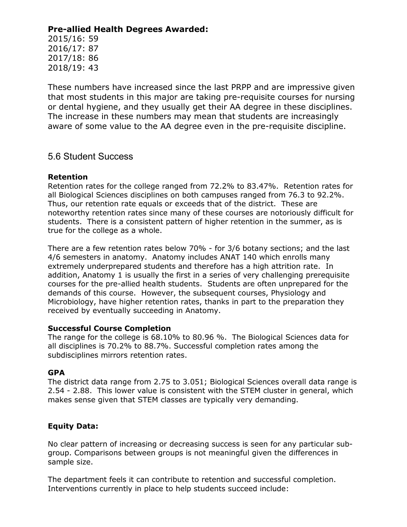#### **Pre-allied Health Degrees Awarded:**

2015/16: 59 2016/17: 87 2017/18: 86 2018/19: 43

These numbers have increased since the last PRPP and are impressive given that most students in this major are taking pre-requisite courses for nursing or dental hygiene, and they usually get their AA degree in these disciplines. The increase in these numbers may mean that students are increasingly aware of some value to the AA degree even in the pre-requisite discipline.

#### 5.6 Student Success

#### **Retention**

Retention rates for the college ranged from 72.2% to 83.47%. Retention rates for all Biological Sciences disciplines on both campuses ranged from 76.3 to 92.2%. Thus, our retention rate equals or exceeds that of the district. These are noteworthy retention rates since many of these courses are notoriously difficult for students. There is a consistent pattern of higher retention in the summer, as is true for the college as a whole.

There are a few retention rates below 70% - for 3/6 botany sections; and the last 4/6 semesters in anatomy. Anatomy includes ANAT 140 which enrolls many extremely underprepared students and therefore has a high attrition rate. In addition, Anatomy 1 is usually the first in a series of very challenging prerequisite courses for the pre-allied health students. Students are often unprepared for the demands of this course. However, the subsequent courses, Physiology and Microbiology, have higher retention rates, thanks in part to the preparation they received by eventually succeeding in Anatomy.

#### **Successful Course Completion**

The range for the college is 68.10% to 80.96 %. The Biological Sciences data for all disciplines is 70.2% to 88.7%. Successful completion rates among the subdisciplines mirrors retention rates.

#### **GPA**

The district data range from 2.75 to 3.051; Biological Sciences overall data range is 2.54 - 2.88. This lower value is consistent with the STEM cluster in general, which makes sense given that STEM classes are typically very demanding.

#### **Equity Data:**

No clear pattern of increasing or decreasing success is seen for any particular subgroup. Comparisons between groups is not meaningful given the differences in sample size.

The department feels it can contribute to retention and successful completion. Interventions currently in place to help students succeed include: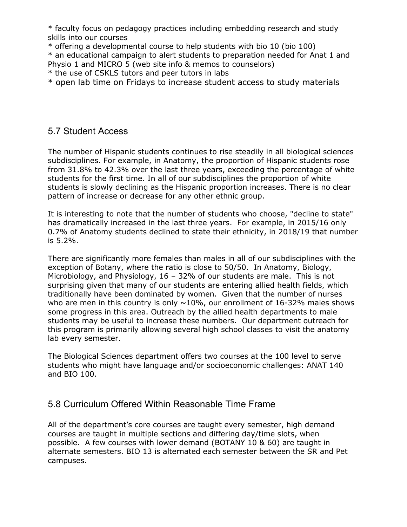\* faculty focus on pedagogy practices including embedding research and study skills into our courses

\* offering a developmental course to help students with bio 10 (bio 100) \* an educational campaign to alert students to preparation needed for Anat 1 and Physio 1 and MICRO 5 (web site info & memos to counselors)

\* the use of CSKLS tutors and peer tutors in labs

\* open lab time on Fridays to increase student access to study materials

#### 5.7 Student Access

The number of Hispanic students continues to rise steadily in all biological sciences subdisciplines. For example, in Anatomy, the proportion of Hispanic students rose from 31.8% to 42.3% over the last three years, exceeding the percentage of white students for the first time. In all of our subdisciplines the proportion of white students is slowly declining as the Hispanic proportion increases. There is no clear pattern of increase or decrease for any other ethnic group.

It is interesting to note that the number of students who choose, "decline to state" has dramatically increased in the last three years. For example, in 2015/16 only 0.7% of Anatomy students declined to state their ethnicity, in 2018/19 that number is 5.2%.

There are significantly more females than males in all of our subdisciplines with the exception of Botany, where the ratio is close to 50/50. In Anatomy, Biology, Microbiology, and Physiology,  $16 - 32%$  of our students are male. This is not surprising given that many of our students are entering allied health fields, which traditionally have been dominated by women. Given that the number of nurses who are men in this country is only  $\sim$ 10%, our enrollment of 16-32% males shows some progress in this area. Outreach by the allied health departments to male students may be useful to increase these numbers. Our department outreach for this program is primarily allowing several high school classes to visit the anatomy lab every semester.

The Biological Sciences department offers two courses at the 100 level to serve students who might have language and/or socioeconomic challenges: ANAT 140 and BIO 100.

## 5.8 Curriculum Offered Within Reasonable Time Frame

All of the department's core courses are taught every semester, high demand courses are taught in multiple sections and differing day/time slots, when possible. A few courses with lower demand (BOTANY 10 & 60) are taught in alternate semesters. BIO 13 is alternated each semester between the SR and Pet campuses.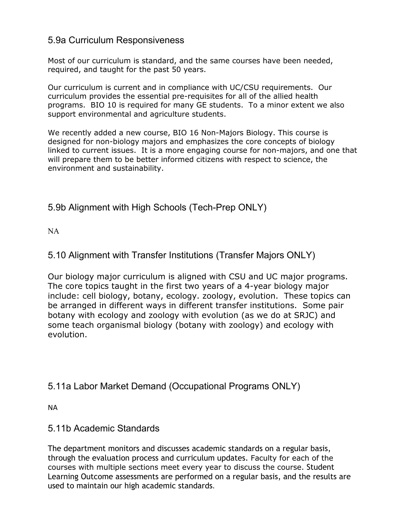#### 5.9a Curriculum Responsiveness

Most of our curriculum is standard, and the same courses have been needed, required, and taught for the past 50 years.

Our curriculum is current and in compliance with UC/CSU requirements. Our curriculum provides the essential pre-requisites for all of the allied health programs. BIO 10 is required for many GE students. To a minor extent we also support environmental and agriculture students.

We recently added a new course, BIO 16 Non-Majors Biology. This course is designed for non-biology majors and emphasizes the core concepts of biology linked to current issues. It is a more engaging course for non-majors, and one that will prepare them to be better informed citizens with respect to science, the environment and sustainability.

## 5.9b Alignment with High Schools (Tech-Prep ONLY)

NA

## 5.10 Alignment with Transfer Institutions (Transfer Majors ONLY)

Our biology major curriculum is aligned with CSU and UC major programs. The core topics taught in the first two years of a 4-year biology major include: cell biology, botany, ecology. zoology, evolution. These topics can be arranged in different ways in different transfer institutions. Some pair botany with ecology and zoology with evolution (as we do at SRJC) and some teach organismal biology (botany with zoology) and ecology with evolution.

## 5.11a Labor Market Demand (Occupational Programs ONLY)

NA

## 5.11b Academic Standards

The department monitors and discusses academic standards on a regular basis, through the evaluation process and curriculum updates. Faculty for each of the courses with multiple sections meet every year to discuss the course. Student Learning Outcome assessments are performed on a regular basis, and the results are used to maintain our high academic standards.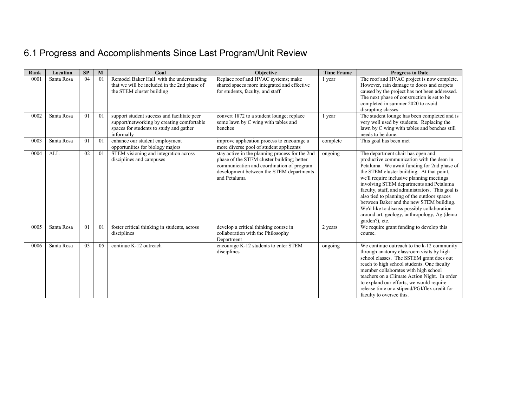# 6.1 Progress and Accomplishments Since Last Program/Unit Review

| Rank | Location   | SP | M              | Goal                                                                                                                                               | <b>Objective</b>                                                                                                                                                                                       | <b>Time Frame</b> | <b>Progress to Date</b>                                                                                                                                                                                                                                                                                                                                                                                                                                                                                                           |
|------|------------|----|----------------|----------------------------------------------------------------------------------------------------------------------------------------------------|--------------------------------------------------------------------------------------------------------------------------------------------------------------------------------------------------------|-------------------|-----------------------------------------------------------------------------------------------------------------------------------------------------------------------------------------------------------------------------------------------------------------------------------------------------------------------------------------------------------------------------------------------------------------------------------------------------------------------------------------------------------------------------------|
| 0001 | Santa Rosa | 04 | 01             | Remodel Baker Hall with the understanding<br>that we will be included in the 2nd phase of<br>the STEM cluster building                             | Replace roof and HVAC systems; make<br>shared spaces more integrated and effective<br>for students, faculty, and staff                                                                                 | 1 year            | The roof and HVAC project is now complete.<br>However, rain damage to doors and carpets<br>caused by the project has not been addressed.<br>The next phase of construction is set to be<br>completed in summer 2020 to avoid<br>disrupting classes.                                                                                                                                                                                                                                                                               |
| 0002 | Santa Rosa | 01 | 01             | support student success and facilitate peer<br>support/networking by creating comfortable<br>spaces for students to study and gather<br>informally | convert 1872 to a student lounge; replace<br>some lawn by C wing with tables and<br>benches                                                                                                            | 1 year            | The student lounge has been completed and is<br>very well used by students. Replacing the<br>lawn by C wing with tables and benches still<br>needs to be done.                                                                                                                                                                                                                                                                                                                                                                    |
| 0003 | Santa Rosa | 01 | 01             | enhance our student employment<br>opportuniites for biology majors                                                                                 | improve application process to encourage a<br>more diverse pool of student applicants                                                                                                                  | complete          | This goal has been met                                                                                                                                                                                                                                                                                                                                                                                                                                                                                                            |
| 0004 | <b>ALL</b> | 02 | 01             | STEM visioning and integration across<br>disciplines and campuses                                                                                  | stay active in the planning process for the 2nd<br>phase of the STEM cluster building; better<br>communication and coordination of program<br>development between the STEM departments<br>and Petaluma | ongoing           | The department chair has open and<br>productive communication with the dean in<br>Petaluma. We await funding for 2nd phase of<br>the STEM cluster building. At that point,<br>we'll require inclusive planning meetings<br>involving STEM departments and Petaluma<br>faculty, staff, and administrators. This goal is<br>also tied to planning of the outdoor spaces<br>between Baker and the new STEM building.<br>We'd like to discuss possibly collaboration<br>around art, geology, anthropology, Ag (demo<br>garden?), etc. |
| 0005 | Santa Rosa | 01 | 0 <sub>1</sub> | foster critical thinking in students, across<br>disciplines                                                                                        | develop a critical thinking course in<br>collaboration with the Philosophy<br>Department                                                                                                               | 2 years           | We require grant funding to develop this<br>course.                                                                                                                                                                                                                                                                                                                                                                                                                                                                               |
| 0006 | Santa Rosa | 03 | 0 <sub>5</sub> | continue K-12 outreach                                                                                                                             | encourage K-12 students to enter STEM<br>disciplines                                                                                                                                                   | ongoing           | We continue outreach to the k-12 community<br>through anatomy classroom visits by high<br>school classes. The SSTEM grant does out<br>reach to high school students. One faculty<br>member collaborates with high school<br>teachers on a Climate Action Night. In order<br>to expland our efforts, we would require<br>release time or a stipend/PGI/flex credit for<br>faculty to oversee this.                                                                                                                                 |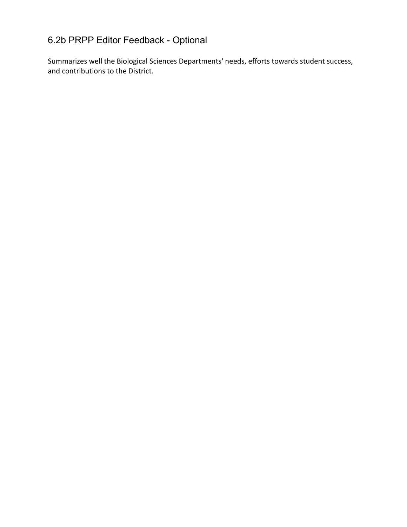# 6.2b PRPP Editor Feedback - Optional

Summarizes well the Biological Sciences Departments' needs, efforts towards student success, and contributions to the District.